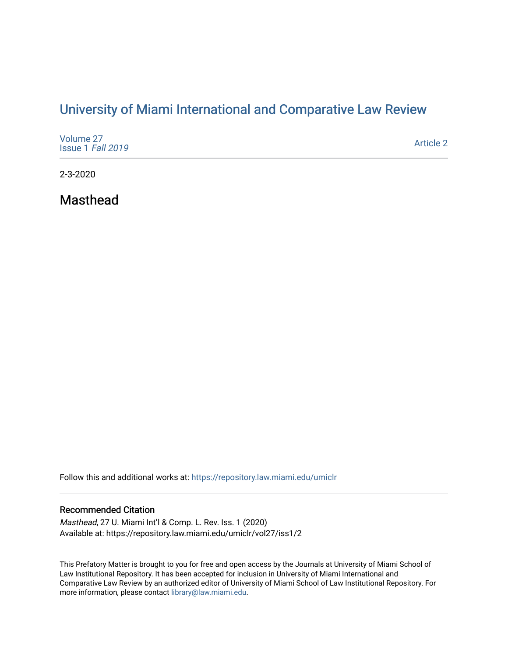# [University of Miami International and Comparative Law Review](https://repository.law.miami.edu/umiclr)

| Volume 27<br>Issue 1 Fall 2019 | <b>Article 2</b> |
|--------------------------------|------------------|
|--------------------------------|------------------|

2-3-2020

Masthead

Follow this and additional works at: [https://repository.law.miami.edu/umiclr](https://repository.law.miami.edu/umiclr?utm_source=repository.law.miami.edu%2Fumiclr%2Fvol27%2Fiss1%2F2&utm_medium=PDF&utm_campaign=PDFCoverPages)

#### Recommended Citation

Masthead, 27 U. Miami Int'l & Comp. L. Rev. Iss. 1 (2020) Available at: https://repository.law.miami.edu/umiclr/vol27/iss1/2

This Prefatory Matter is brought to you for free and open access by the Journals at University of Miami School of Law Institutional Repository. It has been accepted for inclusion in University of Miami International and Comparative Law Review by an authorized editor of University of Miami School of Law Institutional Repository. For more information, please contact [library@law.miami.edu](mailto:library@law.miami.edu).